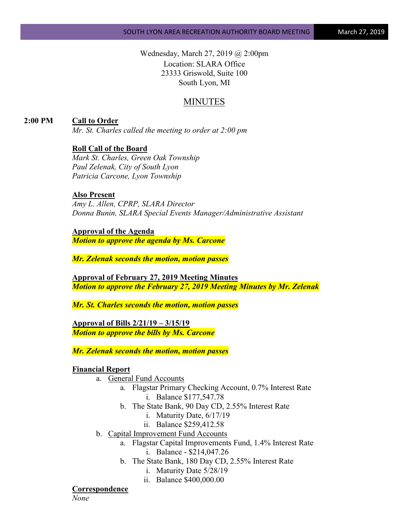Wednesday, March 27, 2019 @ 2:00pm Location: SLARA Office 23333 Griswold, Suite 100 South Lyon, MI

## MINUTES

**2:00 PM Call to Order**

*Mr. St. Charles called the meeting to order at 2:00 pm*

#### **Roll Call of the Board**

*Mark St. Charles, Green Oak Township Paul Zelenak, City of South Lyon Patricia Carcone, Lyon Township*

### **Also Present**

*Amy L. Allen, CPRP, SLARA Director Donna Bunin, SLARA Special Events Manager/Administrative Assistant*

#### **Approval of the Agenda**

*Motion to approve the agenda by Ms. Carcone*

*Mr. Zelenak seconds the motion, motion passes*

**Approval of February 27, 2019 Meeting Minutes** *Motion to approve the February 27, 2019 Meeting Minutes by Mr. Zelenak*

*Mr. St. Charles seconds the motion, motion passes*

**Approval of Bills 2/21/19 – 3/15/19** *Motion to approve the bills by Ms. Carcone*

*Mr. Zelenak seconds the motion, motion passes*

#### **Financial Report**

- a. General Fund Accounts
	- a. Flagstar Primary Checking Account, 0.7% Interest Rate i. Balance \$177,547.78
	- b. The State Bank, 90 Day CD, 2.55% Interest Rate
		- i. Maturity Date, 6/17/19
		- ii. Balance \$259,412.58
- b. Capital Improvement Fund Accounts
	- a. Flagstar Capital Improvements Fund, 1.4% Interest Rate i. Balance - \$214,047.26
	- b. The State Bank, 180 Day CD, 2.55% Interest Rate
		- i. Maturity Date 5/28/19
		- ii. Balance \$400,000.00

### **Correspondence**

*None*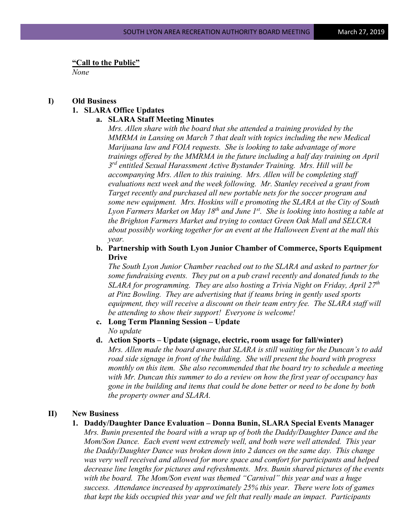**"Call to the Public"**

*None*

# **I) Old Business 1. SLARA Office Updates**

#### **a. SLARA Staff Meeting Minutes**

*Mrs. Allen share with the board that she attended a training provided by the MMRMA in Lansing on March 7 that dealt with topics including the new Medical Marijuana law and FOIA requests. She is looking to take advantage of more trainings offered by the MMRMA in the future including a half day training on April 3rd entitled Sexual Harassment Active Bystander Training. Mrs. Hill will be accompanying Mrs. Allen to this training. Mrs. Allen will be completing staff evaluations next week and the week following. Mr. Stanley received a grant from Target recently and purchased all new portable nets for the soccer program and some new equipment. Mrs. Hoskins will e promoting the SLARA at the City of South Lyon Farmers Market on May 18th and June 1st. She is looking into hosting a table at the Brighton Farmers Market and trying to contact Green Oak Mall and SELCRA about possibly working together for an event at the Halloween Event at the mall this year.* 

### **b. Partnership with South Lyon Junior Chamber of Commerce, Sports Equipment Drive**

*The South Lyon Junior Chamber reached out to the SLARA and asked to partner for some fundraising events. They put on a pub crawl recently and donated funds to the SLARA for programming. They are also hosting a Trivia Night on Friday, April 27th at Pinz Bowling. They are advertising that if teams bring in gently used sports equipment, they will receive a discount on their team entry fee. The SLARA staff will be attending to show their support! Everyone is welcome!*

- **c. Long Term Planning Session – Update** *No update*
- **d. Action Sports – Update (signage, electric, room usage for fall/winter)**

*Mrs. Allen made the board aware that SLARA is still waiting for the Duncan's to add road side signage in front of the building. She will present the board with progress monthly on this item. She also recommended that the board try to schedule a meeting with Mr. Duncan this summer to do a review on how the first year of occupancy has gone in the building and items that could be done better or need to be done by both the property owner and SLARA.*

#### **II) New Business**

**1. Daddy/Daughter Dance Evaluation – Donna Bunin, SLARA Special Events Manager**

*Mrs. Bunin presented the board with a wrap up of both the Daddy/Daughter Dance and the Mom/Son Dance. Each event went extremely well, and both were well attended. This year the Daddy/Daughter Dance was broken down into 2 dances on the same day. This change was very well received and allowed for more space and comfort for participants and helped decrease line lengths for pictures and refreshments. Mrs. Bunin shared pictures of the events with the board. The Mom/Son event was themed "Carnival" this year and was a huge success. Attendance increased by approximately 25% this year. There were lots of games that kept the kids occupied this year and we felt that really made an impact. Participants*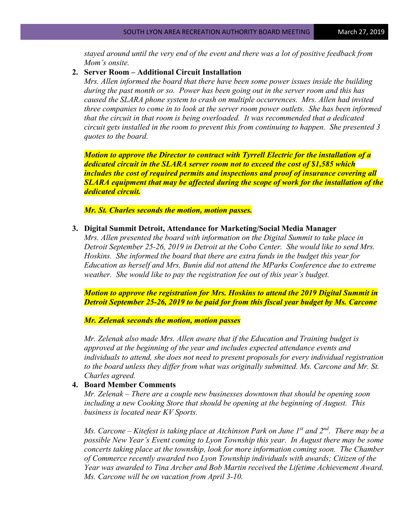*stayed around until the very end of the event and there was a lot of positive feedback from Mom's onsite.*

#### **2. Server Room – Additional Circuit Installation**

*Mrs. Allen informed the board that there have been some power issues inside the building during the past month or so. Power has been going out in the server room and this has caused the SLARA phone system to crash on multiple occurrences. Mrs. Allen had invited three companies to come in to look at the server room power outlets. She has been informed that the circuit in that room is being overloaded. It was recommended that a dedicated circuit gets installed in the room to prevent this from continuing to happen. She presented 3 quotes to the board.* 

*Motion to approve the Director to contract with Tyrrell Electric for the installation of a dedicated circuit in the SLARA server room not to exceed the cost of \$1,585 which includes the cost of required permits and inspections and proof of insurance covering all SLARA equipment that may be affected during the scope of work for the installation of the dedicated circuit.*

*Mr. St. Charles seconds the motion, motion passes.*

**3. Digital Summit Detroit, Attendance for Marketing/Social Media Manager**

*Mrs. Allen presented the board with information on the Digital Summit to take place in Detroit September 25-26, 2019 in Detroit at the Cobo Center. She would like to send Mrs. Hoskins. She informed the board that there are extra funds in the budget this year for Education as herself and Mrs. Bunin did not attend the MParks Conference due to extreme weather. She would like to pay the registration fee out of this year's budget.* 

*Motion to approve the registration for Mrs. Hoskins to attend the 2019 Digital Summit in Detroit September 25-26, 2019 to be paid for from this fiscal year budget by Ms. Carcone*

*Mr. Zelenak seconds the motion, motion passes*

*Mr. Zelenak also made Mrs. Allen aware that if the Education and Training budget is approved at the beginning of the year and includes expected attendance events and individuals to attend, she does not need to present proposals for every individual registration to the board unless they differ from what was originally submitted. Ms. Carcone and Mr. St. Charles agreed.*

### **4. Board Member Comments**

*Mr. Zelenak – There are a couple new businesses downtown that should be opening soon including a new Cooking Store that should be opening at the beginning of August. This business is located near KV Sports.* 

*Ms. Carcone – Kitefest is taking place at Atchinson Park on June 1st and 2nd. There may be a possible New Year's Event coming to Lyon Township this year. In August there may be some concerts taking place at the township, look for more information coming soon. The Chamber of Commerce recently awarded two Lyon Township individuals with awards; Citizen of the Year was awarded to Tina Archer and Bob Martin received the Lifetime Achievement Award. Ms. Carcone will be on vacation from April 3-10.*